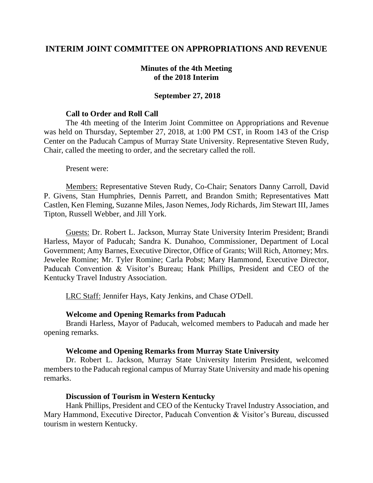# **INTERIM JOINT COMMITTEE ON APPROPRIATIONS AND REVENUE**

### **Minutes of the 4th Meeting of the 2018 Interim**

### **September 27, 2018**

#### **Call to Order and Roll Call**

The 4th meeting of the Interim Joint Committee on Appropriations and Revenue was held on Thursday, September 27, 2018, at 1:00 PM CST, in Room 143 of the Crisp Center on the Paducah Campus of Murray State University. Representative Steven Rudy, Chair, called the meeting to order, and the secretary called the roll.

#### Present were:

Members: Representative Steven Rudy, Co-Chair; Senators Danny Carroll, David P. Givens, Stan Humphries, Dennis Parrett, and Brandon Smith; Representatives Matt Castlen, Ken Fleming, Suzanne Miles, Jason Nemes, Jody Richards, Jim Stewart III, James Tipton, Russell Webber, and Jill York.

Guests: Dr. Robert L. Jackson, Murray State University Interim President; Brandi Harless, Mayor of Paducah; Sandra K. Dunahoo, Commissioner, Department of Local Government; Amy Barnes, Executive Director, Office of Grants; Will Rich, Attorney; Mrs. Jewelee Romine; Mr. Tyler Romine; Carla Pobst; Mary Hammond, Executive Director, Paducah Convention & Visitor's Bureau; Hank Phillips, President and CEO of the Kentucky Travel Industry Association.

LRC Staff: Jennifer Hays, Katy Jenkins, and Chase O'Dell.

#### **Welcome and Opening Remarks from Paducah**

Brandi Harless, Mayor of Paducah, welcomed members to Paducah and made her opening remarks.

#### **Welcome and Opening Remarks from Murray State University**

Dr. Robert L. Jackson, Murray State University Interim President, welcomed members to the Paducah regional campus of Murray State University and made his opening remarks.

#### **Discussion of Tourism in Western Kentucky**

Hank Phillips, President and CEO of the Kentucky Travel Industry Association, and Mary Hammond, Executive Director, Paducah Convention & Visitor's Bureau, discussed tourism in western Kentucky.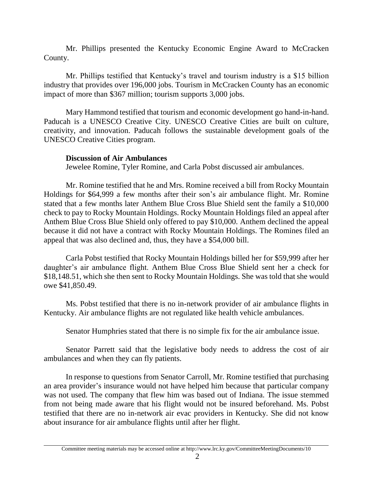Mr. Phillips presented the Kentucky Economic Engine Award to McCracken County.

Mr. Phillips testified that Kentucky's travel and tourism industry is a \$15 billion industry that provides over 196,000 jobs. Tourism in McCracken County has an economic impact of more than \$367 million; tourism supports 3,000 jobs.

Mary Hammond testified that tourism and economic development go hand-in-hand. Paducah is a UNESCO Creative City. UNESCO Creative Cities are built on culture, creativity, and innovation. Paducah follows the sustainable development goals of the UNESCO Creative Cities program.

# **Discussion of Air Ambulances**

Jewelee Romine, Tyler Romine, and Carla Pobst discussed air ambulances.

Mr. Romine testified that he and Mrs. Romine received a bill from Rocky Mountain Holdings for \$64,999 a few months after their son's air ambulance flight. Mr. Romine stated that a few months later Anthem Blue Cross Blue Shield sent the family a \$10,000 check to pay to Rocky Mountain Holdings. Rocky Mountain Holdings filed an appeal after Anthem Blue Cross Blue Shield only offered to pay \$10,000. Anthem declined the appeal because it did not have a contract with Rocky Mountain Holdings. The Romines filed an appeal that was also declined and, thus, they have a \$54,000 bill.

Carla Pobst testified that Rocky Mountain Holdings billed her for \$59,999 after her daughter's air ambulance flight. Anthem Blue Cross Blue Shield sent her a check for \$18,148.51, which she then sent to Rocky Mountain Holdings. She was told that she would owe \$41,850.49.

Ms. Pobst testified that there is no in-network provider of air ambulance flights in Kentucky. Air ambulance flights are not regulated like health vehicle ambulances.

Senator Humphries stated that there is no simple fix for the air ambulance issue.

Senator Parrett said that the legislative body needs to address the cost of air ambulances and when they can fly patients.

In response to questions from Senator Carroll, Mr. Romine testified that purchasing an area provider's insurance would not have helped him because that particular company was not used. The company that flew him was based out of Indiana. The issue stemmed from not being made aware that his flight would not be insured beforehand. Ms. Pobst testified that there are no in-network air evac providers in Kentucky. She did not know about insurance for air ambulance flights until after her flight.

Committee meeting materials may be accessed online at http://www.lrc.ky.gov/CommitteeMeetingDocuments/10